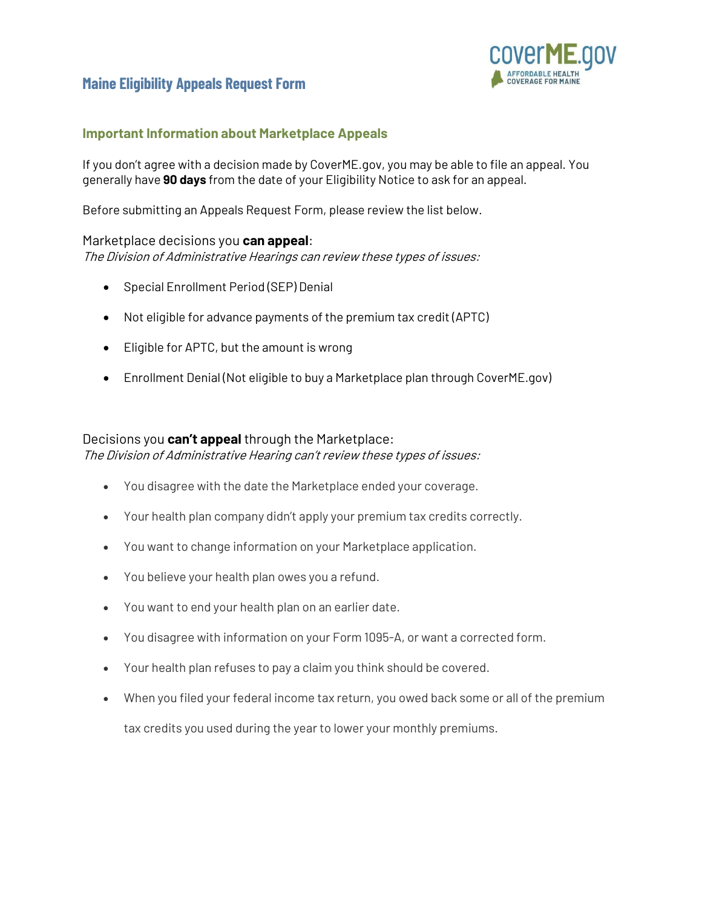

## **Important Information about Marketplace Appeals**

If you don't agree with a decision made by CoverME.gov, you may be able to file an appeal. You generally have **90 days** from the date of your Eligibility Notice to ask for an appeal.

Before submitting an Appeals Request Form, please review the list below.

### Marketplace decisions you **can appeal**:

The Division of Administrative Hearings can review these types of issues:

- Special Enrollment Period (SEP) Denial
- Not eligible for advance payments of the premium tax credit (APTC)
- Eligible for APTC, but the amount is wrong
- Enrollment Denial (Not eligible to buy a Marketplace plan through CoverME.gov)

### Decisions you **can't appeal** through the Marketplace:

The Division of Administrative Hearing can't review these types of issues:

- You disagree with the date the Marketplace ended your coverage.
- Your health plan company didn't apply your premium tax credits correctly.
- You want to change information on your Marketplace application.
- You believe your health plan owes you a refund.
- You want to end your health plan on an earlier date.
- You disagree with information on your Form 1095-A, or want a corrected form.
- Your health plan refuses to pay a claim you think should be covered.
- When you filed your federal income tax return, you owed back some or all of the premium

tax credits you used during the year to lower your monthly premiums.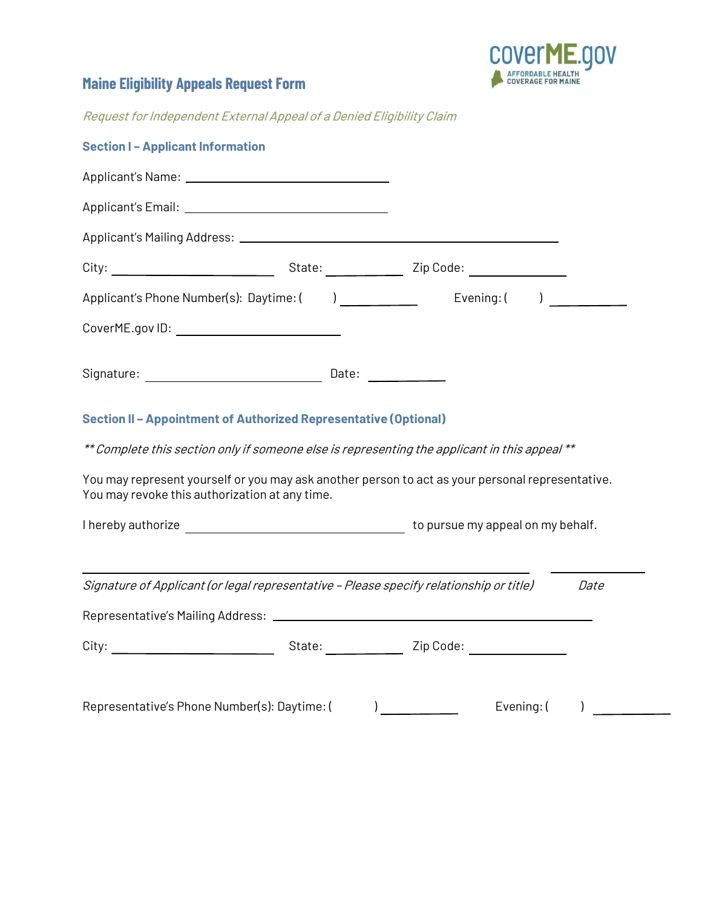

Request for Independent External Appeal of a Denied Eligibility Claim

| <b>Section I-Applicant Information</b>                                                                                                             |  |  |            |             |
|----------------------------------------------------------------------------------------------------------------------------------------------------|--|--|------------|-------------|
|                                                                                                                                                    |  |  |            |             |
|                                                                                                                                                    |  |  |            |             |
|                                                                                                                                                    |  |  |            |             |
|                                                                                                                                                    |  |  |            |             |
|                                                                                                                                                    |  |  |            |             |
| CoverME.gov ID: _____________________________                                                                                                      |  |  |            |             |
|                                                                                                                                                    |  |  |            |             |
| Section II - Appointment of Authorized Representative (Optional)                                                                                   |  |  |            |             |
| ** Complete this section only if someone else is representing the applicant in this appeal **                                                      |  |  |            |             |
| You may represent yourself or you may ask another person to act as your personal representative.<br>You may revoke this authorization at any time. |  |  |            |             |
|                                                                                                                                                    |  |  |            |             |
| Signature of Applicant (or legal representative - Please specify relationship or title)                                                            |  |  |            | <i>Date</i> |
|                                                                                                                                                    |  |  |            |             |
|                                                                                                                                                    |  |  |            |             |
| Representative's Phone Number(s): Daytime: (                                                                                                       |  |  | Evening: ( |             |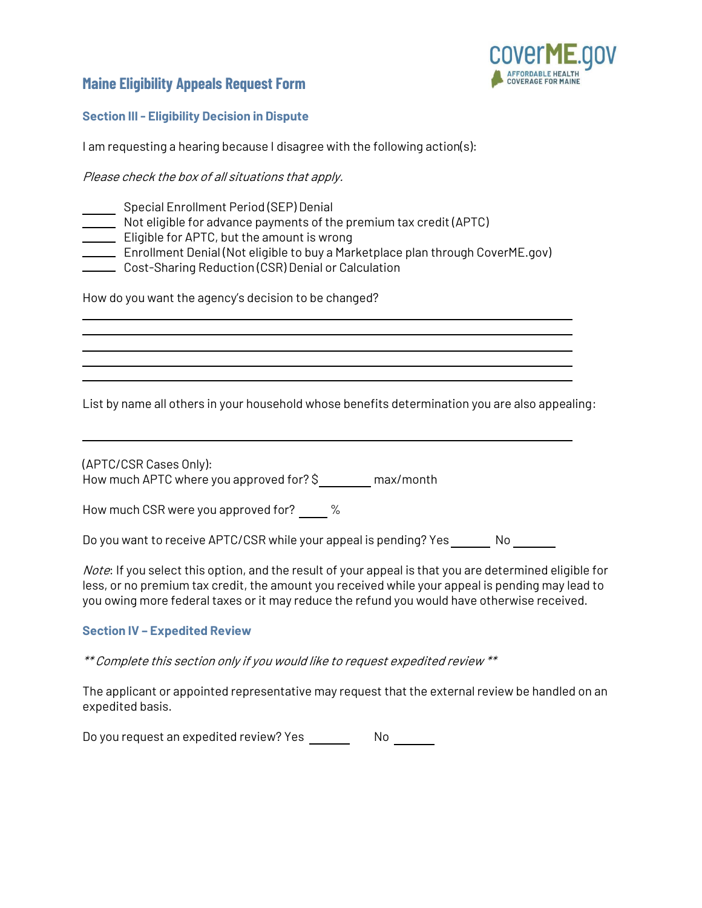

#### **Section III - Eligibility Decision in Dispute**

I am requesting a hearing because I disagree with the following action(s):

Please check the box of all situations that apply.

- Special Enrollment Period (SEP) Denial
- Not eligible for advance payments of the premium tax credit (APTC)
- **Eligible for APTC, but the amount is wrong**
- Enrollment Denial (Not eligible to buy a Marketplace plan through CoverME.gov)
- Cost-Sharing Reduction (CSR) Denial or Calculation

How do you want the agency's decision to be changed?

List by name all others in your household whose benefits determination you are also appealing:

(APTC/CSR Cases Only): How much APTC where you approved for? \$ max/month

How much CSR were you approved for?  $\%$ 

Do you want to receive APTC/CSR while your appeal is pending? Yes No

Note: If you select this option, and the result of your appeal is that you are determined eligible for less, or no premium tax credit, the amount you received while your appeal is pending may lead to you owing more federal taxes or it may reduce the refund you would have otherwise received.

### **Section IV – Expedited Review**

\*\* Complete this section only if you would like to request expedited review \*\*

The applicant or appointed representative may request that the external review be handled on an expedited basis.

Do you request an expedited review? Yes No